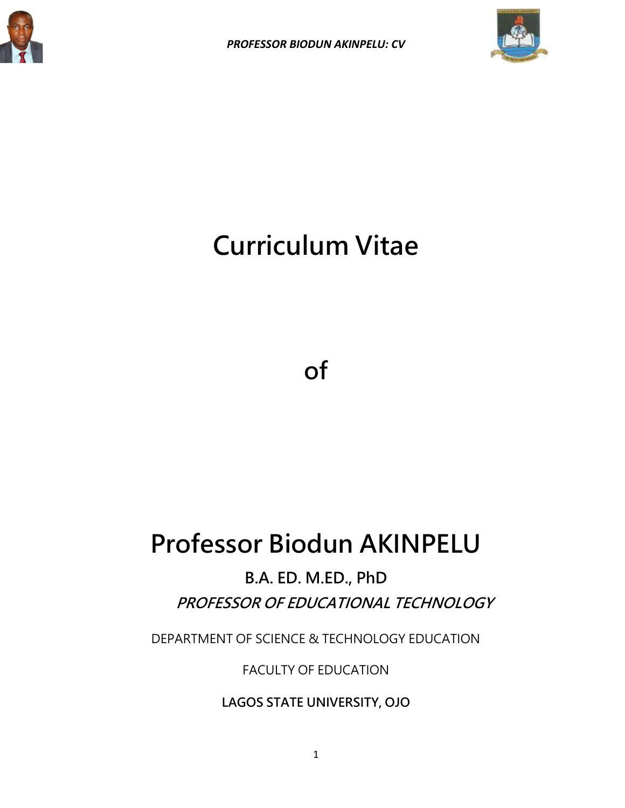



# **Curriculum Vitae**

**of**

## **Professor Biodun AKINPELU**

**B.A. ED. M.ED., PhD PROFESSOR OF EDUCATIONAL TECHNOLOGY**

DEPARTMENT OF SCIENCE & TECHNOLOGY EDUCATION

FACULTY OF EDUCATION

**LAGOS STATE UNIVERSITY, OJO**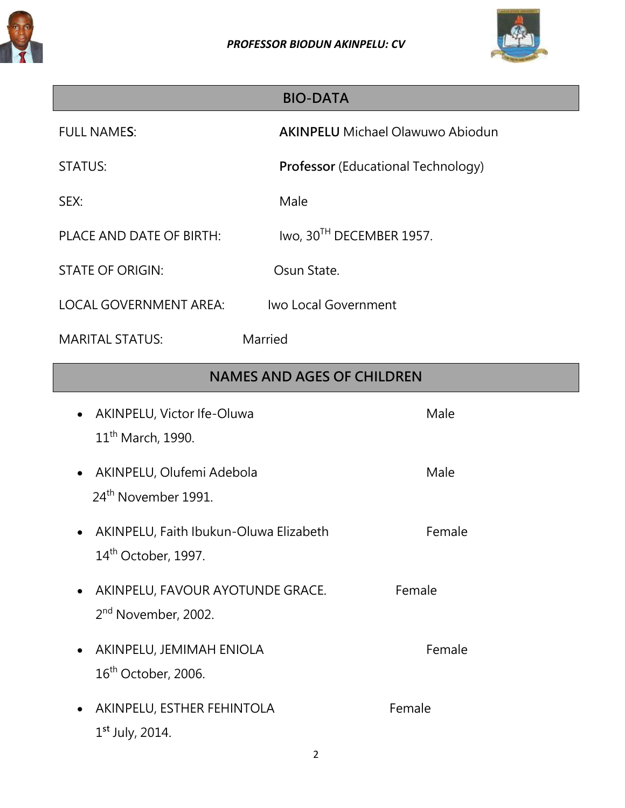



## **BIO-DATA**

FULL NAME**S**: **AKINPELU** Michael Olawuwo Abiodun

STATUS: **Professor** (Educational Technology)

SEX: Male

PLACE AND DATE OF BIRTH: Iwo, 30<sup>TH</sup> DECEMBER 1957.

STATE OF ORIGIN: Case Communication Communication

LOCAL GOVERNMENT AREA: Iwo Local Government

MARITAL STATUS: Married

## **NAMES AND AGES OF CHILDREN**

| AKINPELU, Victor Ife-Oluwa<br>11 <sup>th</sup> March, 1990.           | Male   |
|-----------------------------------------------------------------------|--------|
| • AKINPELU, Olufemi Adebola<br>24 <sup>th</sup> November 1991.        | Male   |
| AKINPELU, Faith Ibukun-Oluwa Elizabeth<br>$14th$ October, 1997.       | Female |
| • AKINPELU, FAVOUR AYOTUNDE GRACE.<br>2 <sup>nd</sup> November, 2002. | Female |
| AKINPELU, JEMIMAH ENIOLA<br>$16th$ October, 2006.                     | Female |
| AKINPELU, ESTHER FEHINTOLA<br>$1^{st}$ July, 2014.                    | Female |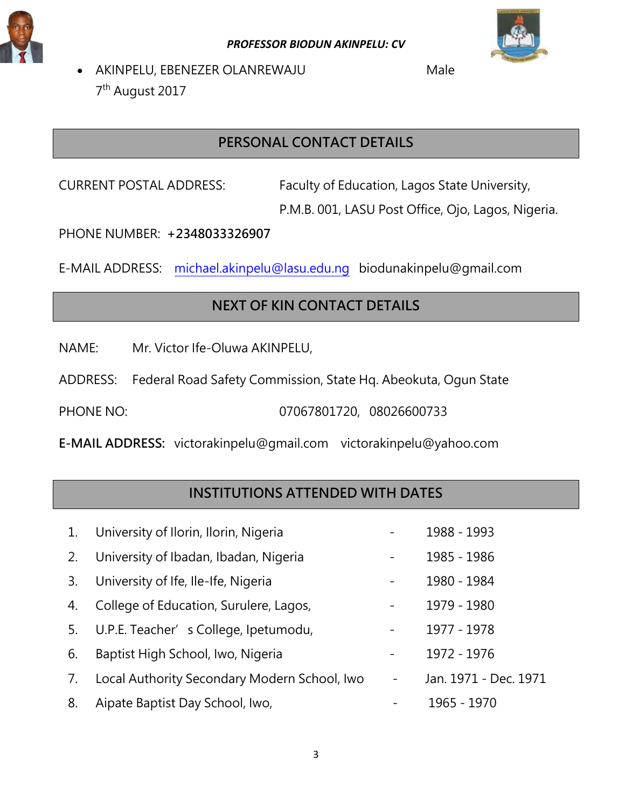



• AKINPELU, EBENEZER OLANREWAJU Male 7<sup>th</sup> August 2017

## **PERSONAL CONTACT DETAILS**

CURRENT POSTAL ADDRESS: Faculty of Education, Lagos State University,

P.M.B. 001, LASU Post Office, Ojo, Lagos, Nigeria.

PHONE NUMBER: **+2348033326907**

E-MAIL ADDRESS: [michael.akinpelu@lasu.edu.ng](mailto:michael.akinpelu@lasu.edu.ng) [biodunakinpelu@gmail.com](mailto:biodunakinpelu@gmail.com)

## **NEXT OF KIN CONTACT DETAILS**

NAME: Mr. Victor Ife-Oluwa AKINPELU,

ADDRESS: Federal Road Safety Commission, State Hq. Abeokuta, Ogun State

PHONE NO: 07067801720, 08026600733

**E-MAIL ADDRESS:** [victorakinpelu@gmail.com](mailto:victorakinpelu@gmail.com) [victorakinpelu@yahoo.com](mailto:victorakinpelu@yahoo.com)

## **INSTITUTIONS ATTENDED WITH DATES**

| 1. | University of Ilorin, Ilorin, Nigeria        |                          | 1988 - 1993           |
|----|----------------------------------------------|--------------------------|-----------------------|
| 2. | University of Ibadan, Ibadan, Nigeria        |                          | 1985 - 1986           |
| 3. | University of Ife, Ile-Ife, Nigeria          | $\overline{\phantom{0}}$ | 1980 - 1984           |
| 4. | College of Education, Surulere, Lagos,       | $\overline{\phantom{a}}$ | 1979 - 1980           |
| 5. | U.P.E. Teacher's College, Ipetumodu,         |                          | 1977 - 1978           |
| 6. | Baptist High School, Iwo, Nigeria            | $\overline{\phantom{a}}$ | 1972 - 1976           |
| 7. | Local Authority Secondary Modern School, Iwo | $\overline{\phantom{a}}$ | Jan. 1971 - Dec. 1971 |
| 8. | Aipate Baptist Day School, Iwo,              |                          | 1965 - 1970           |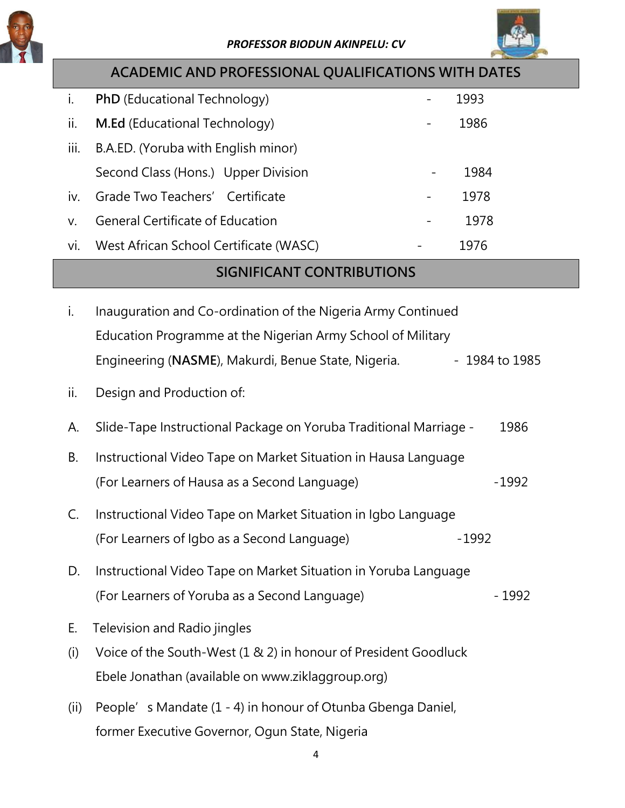



|      | <b>ACADEMIC AND PROFESSIONAL QUALIFICATIONS WITH DATES</b>        |                                  |
|------|-------------------------------------------------------------------|----------------------------------|
| i.   | PhD (Educational Technology)                                      | 1993<br>$\overline{\phantom{0}}$ |
| ii.  | M.Ed (Educational Technology)                                     | 1986                             |
| iii. | B.A.ED. (Yoruba with English minor)                               |                                  |
|      | Second Class (Hons.) Upper Division                               | 1984                             |
| iv.  | Grade Two Teachers' Certificate                                   | 1978                             |
| V.   | <b>General Certificate of Education</b>                           | 1978                             |
| vi.  | West African School Certificate (WASC)                            | 1976                             |
|      | <b>SIGNIFICANT CONTRIBUTIONS</b>                                  |                                  |
| i.   | Inauguration and Co-ordination of the Nigeria Army Continued      |                                  |
|      | Education Programme at the Nigerian Army School of Military       |                                  |
|      | Engineering (NASME), Makurdi, Benue State, Nigeria.               | $-1984$ to 1985                  |
| ii.  |                                                                   |                                  |
|      | Design and Production of:                                         |                                  |
| А.   | Slide-Tape Instructional Package on Yoruba Traditional Marriage - | 1986                             |
| В.   | Instructional Video Tape on Market Situation in Hausa Language    |                                  |
|      | (For Learners of Hausa as a Second Language)                      | $-1992$                          |
| C.   | Instructional Video Tape on Market Situation in Igbo Language     |                                  |
|      | (For Learners of Igbo as a Second Language)                       | $-1992$                          |
|      |                                                                   |                                  |
| D.   | Instructional Video Tape on Market Situation in Yoruba Language   |                                  |
|      | (For Learners of Yoruba as a Second Language)                     | $-1992$                          |
| Е.   | Television and Radio jingles                                      |                                  |
| (i)  | Voice of the South-West (1 & 2) in honour of President Goodluck   |                                  |

- Ebele Jonathan (available on www.ziklaggroup.org)
- (ii) People's Mandate (1 4) in honour of Otunba Gbenga Daniel, former Executive Governor, Ogun State, Nigeria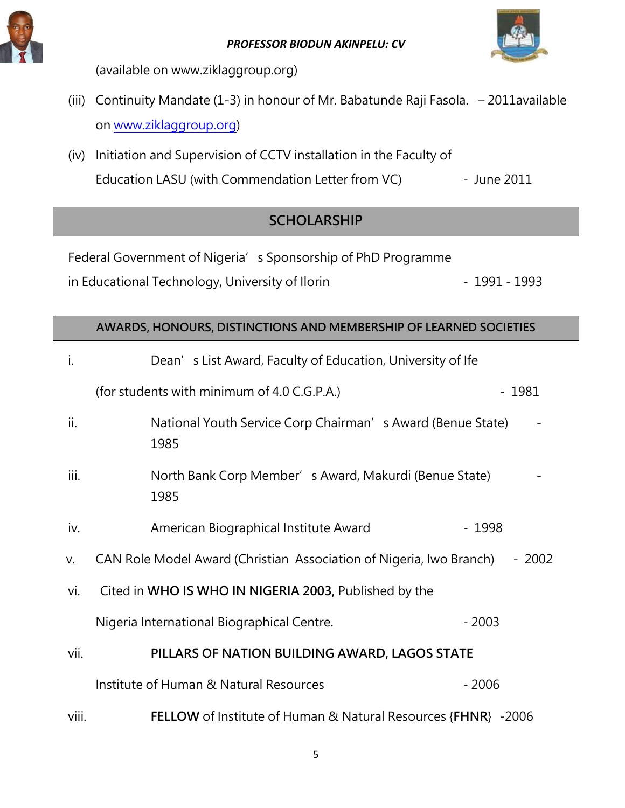



(available on www.ziklaggroup.org)

- (iii) Continuity Mandate (1-3) in honour of Mr. Babatunde Raji Fasola. 2011available on [www.ziklaggroup.org\)](http://www.ziklaggroup.org/)
- (iv) Initiation and Supervision of CCTV installation in the Faculty of Education LASU (with Commendation Letter from VC) - June 2011

## **SCHOLARSHIP**

Federal Government of Nigeria's Sponsorship of PhD Programme in Educational Technology, University of Ilorin **Fig. 1991** - 1991 - 1993

## **AWARDS, HONOURS, DISTINCTIONS AND MEMBERSHIP OF LEARNED SOCIETIES**

| i.    | Dean's List Award, Faculty of Education, University of Ife                     |  |
|-------|--------------------------------------------------------------------------------|--|
|       | (for students with minimum of 4.0 C.G.P.A.)<br>$-1981$                         |  |
| ii.   | National Youth Service Corp Chairman's Award (Benue State)<br>1985             |  |
| iii.  | North Bank Corp Member's Award, Makurdi (Benue State)<br>1985                  |  |
| iv.   | American Biographical Institute Award<br>$-1998$                               |  |
| V.    | CAN Role Model Award (Christian Association of Nigeria, Iwo Branch)<br>$-2002$ |  |
| vi.   | Cited in WHO IS WHO IN NIGERIA 2003, Published by the                          |  |
|       | Nigeria International Biographical Centre.<br>$-2003$                          |  |
| vii.  | PILLARS OF NATION BUILDING AWARD, LAGOS STATE                                  |  |
|       | Institute of Human & Natural Resources<br>$-2006$                              |  |
| viii. | <b>FELLOW</b> of Institute of Human & Natural Resources {FHNR} -2006           |  |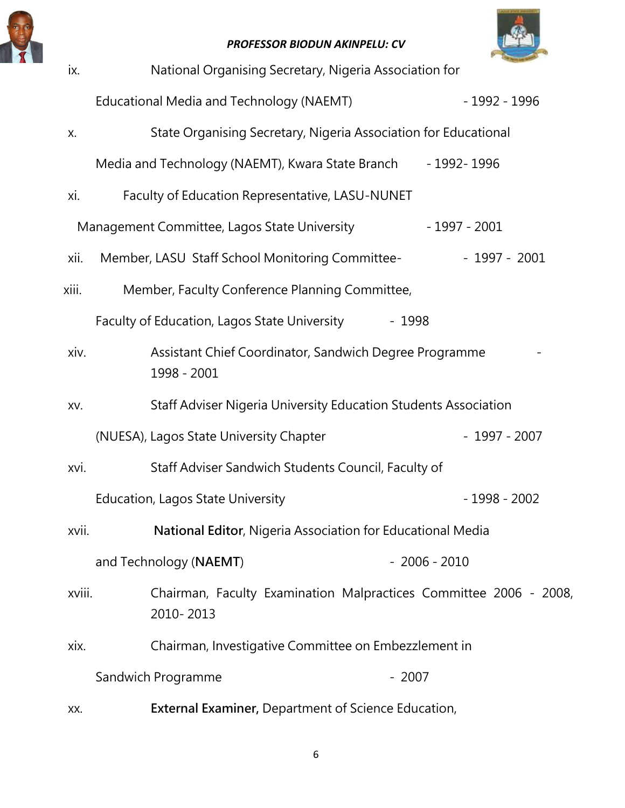



| ix.    | National Organising Secretary, Nigeria Association for                         |                |
|--------|--------------------------------------------------------------------------------|----------------|
|        | Educational Media and Technology (NAEMT)                                       | - 1992 - 1996  |
| Х.     | State Organising Secretary, Nigeria Association for Educational                |                |
|        | Media and Technology (NAEMT), Kwara State Branch - 1992-1996                   |                |
| Xİ.    | Faculty of Education Representative, LASU-NUNET                                |                |
|        | Management Committee, Lagos State University                                   | - 1997 - 2001  |
| xii.   | Member, LASU Staff School Monitoring Committee-                                | $-1997 - 2001$ |
| xiii.  | Member, Faculty Conference Planning Committee,                                 |                |
|        | Faculty of Education, Lagos State University                                   | - 1998         |
| xiv.   | Assistant Chief Coordinator, Sandwich Degree Programme<br>1998 - 2001          |                |
| XV.    | Staff Adviser Nigeria University Education Students Association                |                |
|        | (NUESA), Lagos State University Chapter                                        | $-1997 - 2007$ |
| xvi.   | Staff Adviser Sandwich Students Council, Faculty of                            |                |
|        | <b>Education, Lagos State University</b>                                       | $-1998 - 2002$ |
| xvii.  | National Editor, Nigeria Association for Educational Media                     |                |
|        | and Technology (NAEMT)                                                         | $-2006 - 2010$ |
| xviii. | Chairman, Faculty Examination Malpractices Committee 2006 - 2008,<br>2010-2013 |                |
| xix.   | Chairman, Investigative Committee on Embezzlement in                           |                |
|        | Sandwich Programme                                                             | $-2007$        |
| XX.    | <b>External Examiner, Department of Science Education,</b>                     |                |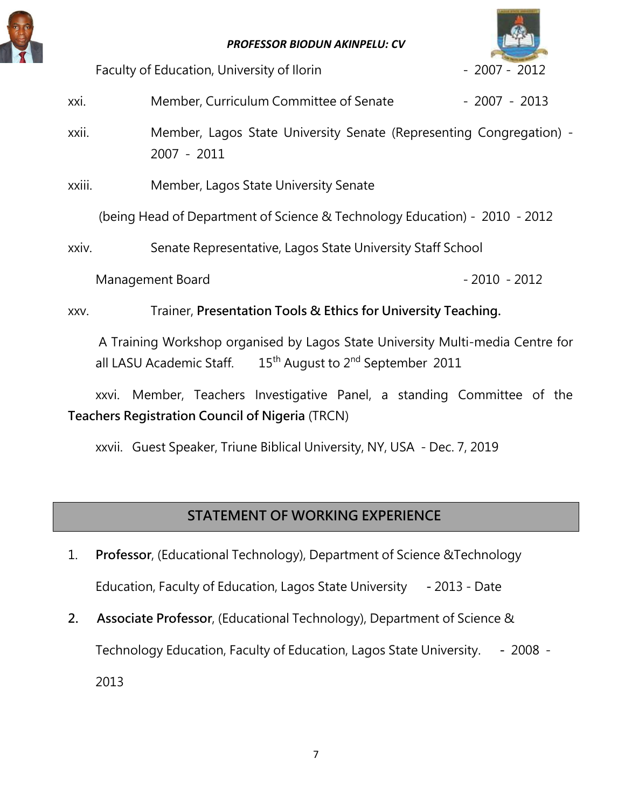



Faculty of Education, University of Ilorin **Faculty of Education**, University of Ilorin

xxi. Member, Curriculum Committee of Senate - 2007 - 2013

- xxii. Member, Lagos State University Senate (Representing Congregation) 2007 - 2011
- xxiii. Member, Lagos State University Senate

(being Head of Department of Science & Technology Education) - 2010 - 2012

xxiv. Senate Representative, Lagos State University Staff School

Management Board - 2010 - 2012

xxv. Trainer, **Presentation Tools & Ethics for University Teaching.**

A Training Workshop organised by Lagos State University Multi-media Centre for all LASU Academic Staff.  $15<sup>th</sup>$  August to  $2<sup>nd</sup>$  September 2011

xxvi. Member, Teachers Investigative Panel, a standing Committee of the **Teachers Registration Council of Nigeria** (TRCN)

xxvii. Guest Speaker, Triune Biblical University, NY, USA - Dec. 7, 2019

## **STATEMENT OF WORKING EXPERIENCE**

- 1. **Professor**, (Educational Technology), Department of Science &Technology Education, Faculty of Education, Lagos State University **-** 2013 - Date
- **2. Associate Professor**, (Educational Technology), Department of Science & Technology Education, Faculty of Education, Lagos State University. **-** 2008 - 2013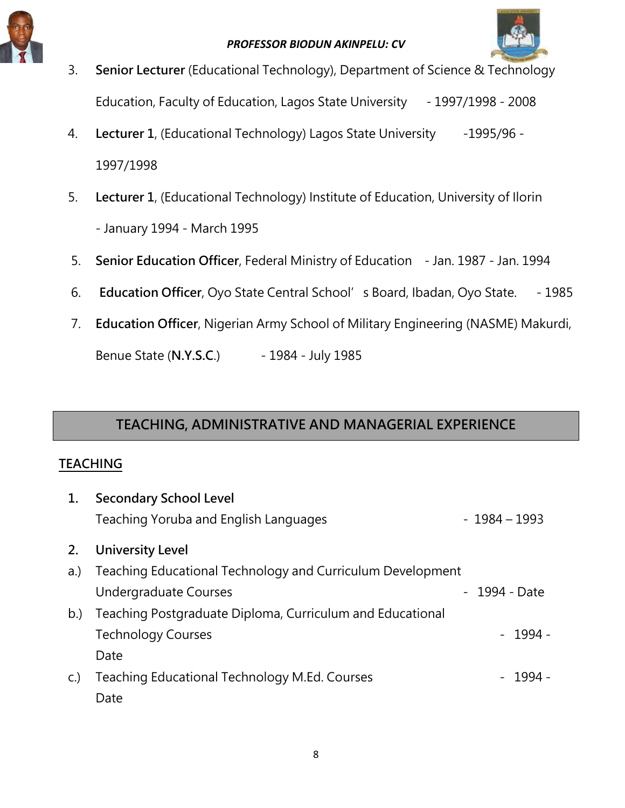



- 3. **Senior Lecturer** (Educational Technology), Department of Science & Technology Education, Faculty of Education, Lagos State University - 1997/1998 - 2008
- 4. **Lecturer 1**, (Educational Technology) Lagos State University -1995/96 -1997/1998
- 5. **Lecturer 1**, (Educational Technology) Institute of Education, University of Ilorin - January 1994 - March 1995
- 5. **Senior Education Officer**, Federal Ministry of Education Jan. 1987 Jan. 1994
- 6. **Education Officer**, Oyo State Central School's Board, Ibadan, Oyo State. 1985
- 7. **Education Officer**, Nigerian Army School of Military Engineering (NASME) Makurdi,

Benue State (**N.Y.S.C**.) - 1984 - July 1985

## **TEACHING, ADMINISTRATIVE AND MANAGERIAL EXPERIENCE**

### **TEACHING**

| 1.  | <b>Secondary School Level</b>                              |               |          |
|-----|------------------------------------------------------------|---------------|----------|
|     | Teaching Yoruba and English Languages                      | - 1984 – 1993 |          |
| 2.  | <b>University Level</b>                                    |               |          |
| a.) | Teaching Educational Technology and Curriculum Development |               |          |
|     | Undergraduate Courses                                      | - 1994 - Date |          |
| b)  | Teaching Postgraduate Diploma, Curriculum and Educational  |               |          |
|     | <b>Technology Courses</b>                                  |               | $-1994-$ |
|     | Date                                                       |               |          |
| C.  | Teaching Educational Technology M.Ed. Courses              |               | - 1994 - |
|     | Date                                                       |               |          |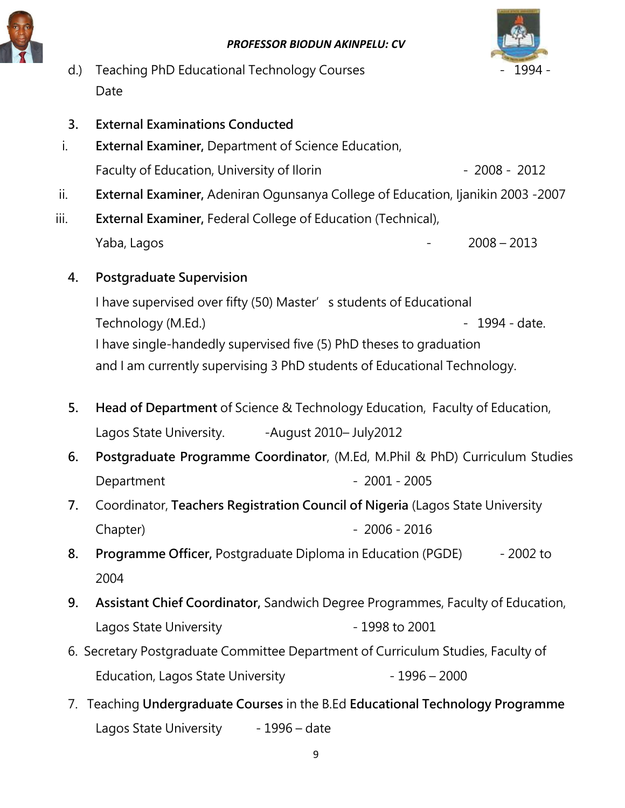



- d.) Teaching PhD Educational Technology Courses **1994** 1994 -Date
- **3. External Examinations Conducted**
- i. **External Examiner,** Department of Science Education, Faculty of Education, University of Ilorin Faculty of  $\sim$  2008 - 2012
- ii. **External Examiner,** Adeniran Ogunsanya College of Education, Ijanikin 2003 -2007
- iii. **External Examiner,** Federal College of Education (Technical), Yaba, Lagos - 2008 – 2013
	- **4. Postgraduate Supervision**

I have supervised over fifty (50) Master's students of Educational Technology (M.Ed.) and the contract of the contract of the 1994 - date. I have single-handedly supervised five (5) PhD theses to graduation and I am currently supervising 3 PhD students of Educational Technology.

- **5. Head of Department** of Science & Technology Education, Faculty of Education, Lagos State University. - August 2010– July2012
- **6. Postgraduate Programme Coordinator**, (M.Ed, M.Phil & PhD) Curriculum Studies Department 2001 - 2005
- **7.** Coordinator, **Teachers Registration Council of Nigeria** (Lagos State University Chapter) - 2006 - 2016
- **8. Programme Officer,** Postgraduate Diploma in Education (PGDE) 2002 to 2004
- **9. Assistant Chief Coordinator,** Sandwich Degree Programmes, Faculty of Education, Lagos State University **Channel Accord 1998** to 2001
- 6. Secretary Postgraduate Committee Department of Curriculum Studies, Faculty of Education, Lagos State University - 1996 - 2000
- 7. Teaching **Undergraduate Courses** in the B.Ed **Educational Technology Programme** Lagos State University - 1996 – date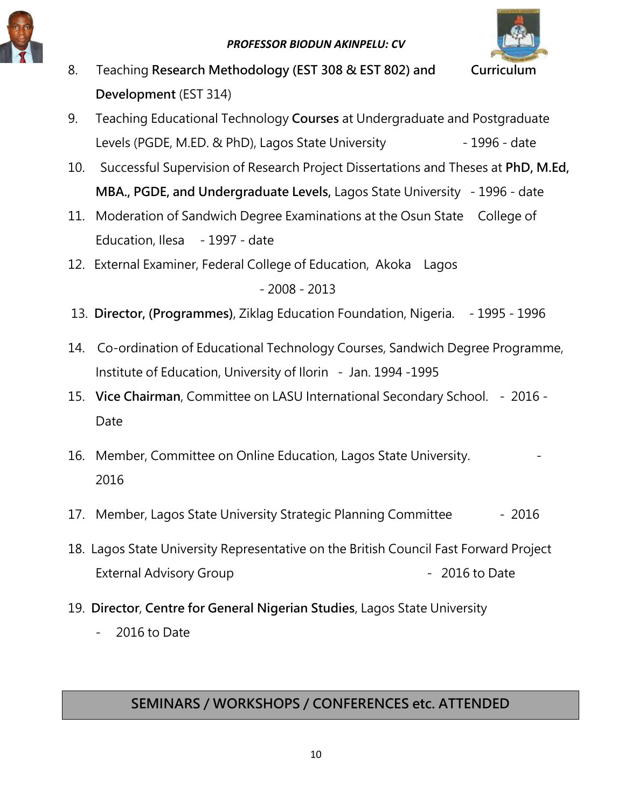



- 8. Teaching **Research Methodology (EST 308 & EST 802) and Curriculum Development** (EST 314)
- 9. Teaching Educational Technology **Courses** at Undergraduate and Postgraduate Levels (PGDE, M.ED. & PhD), Lagos State University - 1996 - date
- 10. Successful Supervision of Research Project Dissertations and Theses at **PhD, M.Ed, MBA., PGDE, and Undergraduate Levels,** Lagos State University - 1996 - date
- 11. Moderation of Sandwich Degree Examinations at the Osun State College of Education, Ilesa - 1997 - date
- 12. External Examiner, Federal College of Education, Akoka Lagos - 2008 - 2013
- 13. **Director, (Programmes)**, Ziklag Education Foundation, Nigeria. 1995 1996
- 14. Co-ordination of Educational Technology Courses, Sandwich Degree Programme, Institute of Education, University of Ilorin - Jan. 1994 -1995
- 15. **Vice Chairman**, Committee on LASU International Secondary School. 2016 Date
- 16. Member, Committee on Online Education, Lagos State University. 2016
- 17. Member, Lagos State University Strategic Planning Committee 2016
- 18. Lagos State University Representative on the British Council Fast Forward Project External Advisory Group **Advices** 2016 to Date
- 19. **Director**, **Centre for General Nigerian Studies**, Lagos State University
	- 2016 to Date

## **SEMINARS / WORKSHOPS / CONFERENCES etc. ATTENDED**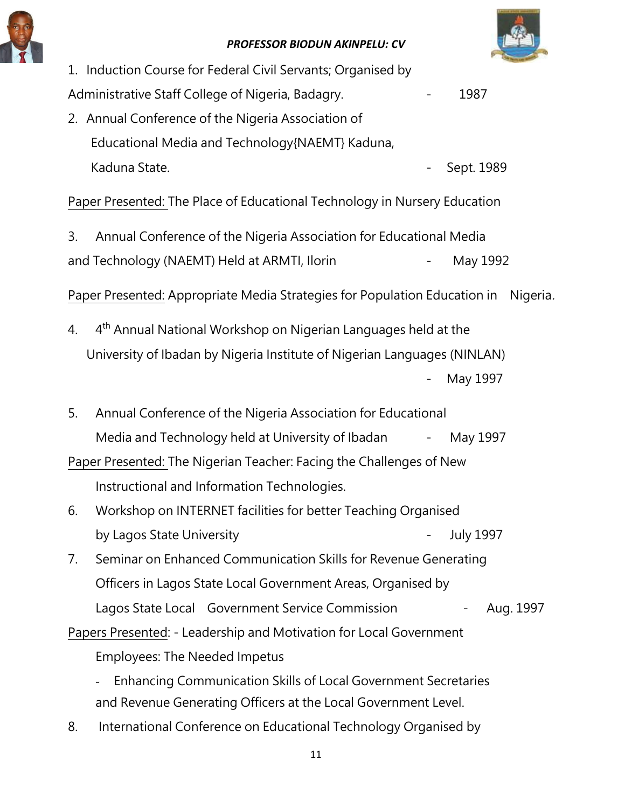



|    | 1. Induction Course for Federal Civil Servants; Organised by               |                          |                  |
|----|----------------------------------------------------------------------------|--------------------------|------------------|
|    | Administrative Staff College of Nigeria, Badagry.                          |                          | 1987             |
|    | 2. Annual Conference of the Nigeria Association of                         |                          |                  |
|    | Educational Media and Technology (NAEMT) Kaduna,                           |                          |                  |
|    | Kaduna State.                                                              |                          | Sept. 1989       |
|    | Paper Presented: The Place of Educational Technology in Nursery Education  |                          |                  |
| 3. | Annual Conference of the Nigeria Association for Educational Media         |                          |                  |
|    | and Technology (NAEMT) Held at ARMTI, Ilorin                               |                          | May 1992         |
|    | Paper Presented: Appropriate Media Strategies for Population Education in  |                          | Nigeria.         |
| 4. | 4 <sup>th</sup> Annual National Workshop on Nigerian Languages held at the |                          |                  |
|    | University of Ibadan by Nigeria Institute of Nigerian Languages (NINLAN)   |                          |                  |
|    |                                                                            |                          | May 1997         |
| 5. | Annual Conference of the Nigeria Association for Educational               |                          |                  |
|    | Media and Technology held at University of Ibadan - May 1997               |                          |                  |
|    | Paper Presented: The Nigerian Teacher: Facing the Challenges of New        |                          |                  |
|    | Instructional and Information Technologies.                                |                          |                  |
|    | 6. Workshop on INTERNET facilities for better Teaching Organised           |                          |                  |
|    | by Lagos State University                                                  | $\overline{\phantom{0}}$ | <b>July 1997</b> |
| 7. | Seminar on Enhanced Communication Skills for Revenue Generating            |                          |                  |
|    | Officers in Lagos State Local Government Areas, Organised by               |                          |                  |
|    | Lagos State Local Government Service Commission                            |                          | Aug. 1997<br>Ξ.  |
|    | Papers Presented: - Leadership and Motivation for Local Government         |                          |                  |
|    | <b>Employees: The Needed Impetus</b>                                       |                          |                  |
|    | <b>Enhancing Communication Skills of Local Government Secretaries</b>      |                          |                  |
|    | and Revenue Generating Officers at the Local Government Level.             |                          |                  |
|    |                                                                            |                          |                  |

8. International Conference on Educational Technology Organised by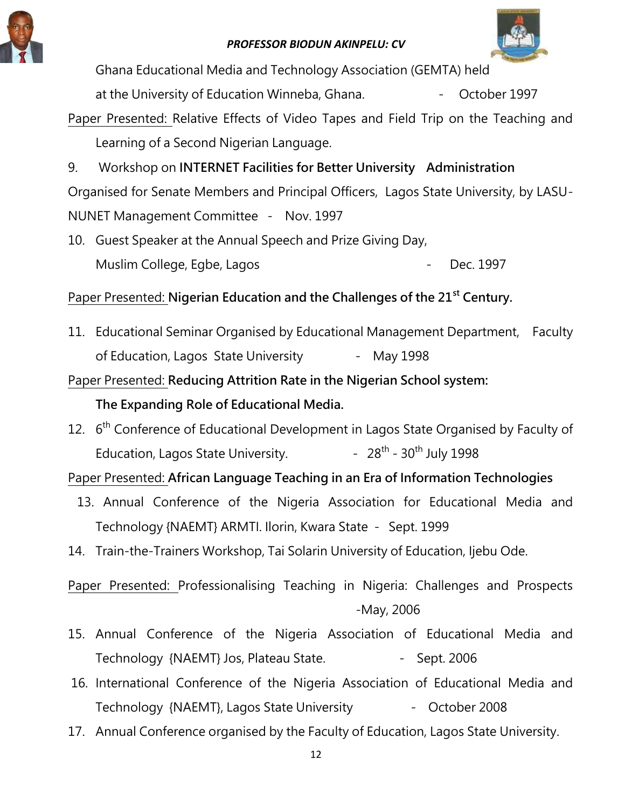



Ghana Educational Media and Technology Association (GEMTA) held

at the University of Education Winneba, Ghana. The Summer School of 1997

Paper Presented: Relative Effects of Video Tapes and Field Trip on the Teaching and Learning of a Second Nigerian Language.

9. Workshop on **INTERNET Facilities for Better University Administration**  Organised for Senate Members and Principal Officers, Lagos State University, by LASU-NUNET Management Committee - Nov. 1997

10. Guest Speaker at the Annual Speech and Prize Giving Day, Muslim College, Egbe, Lagos - 2006 - 2014 - Dec. 1997

Paper Presented: **Nigerian Education and the Challenges of the 21st Century.** 

11. Educational Seminar Organised by Educational Management Department, Faculty of Education, Lagos State University - May 1998

Paper Presented: **Reducing Attrition Rate in the Nigerian School system:** 

## **The Expanding Role of Educational Media.**

12. 6<sup>th</sup> Conference of Educational Development in Lagos State Organised by Faculty of Education, Lagos State University.  $-28^{th}$  - 30<sup>th</sup> July 1998

Paper Presented: **African Language Teaching in an Era of Information Technologies**

- 13. Annual Conference of the Nigeria Association for Educational Media and Technology {NAEMT} ARMTI. Ilorin, Kwara State - Sept. 1999
- 14. Train-the-Trainers Workshop, Tai Solarin University of Education, Ijebu Ode.

Paper Presented: Professionalising Teaching in Nigeria: Challenges and Prospects -May, 2006

- 15. Annual Conference of the Nigeria Association of Educational Media and Technology {NAEMT} Jos, Plateau State. - Sept. 2006
- 16. International Conference of the Nigeria Association of Educational Media and Technology {NAEMT}, Lagos State University - October 2008
- 17. Annual Conference organised by the Faculty of Education, Lagos State University.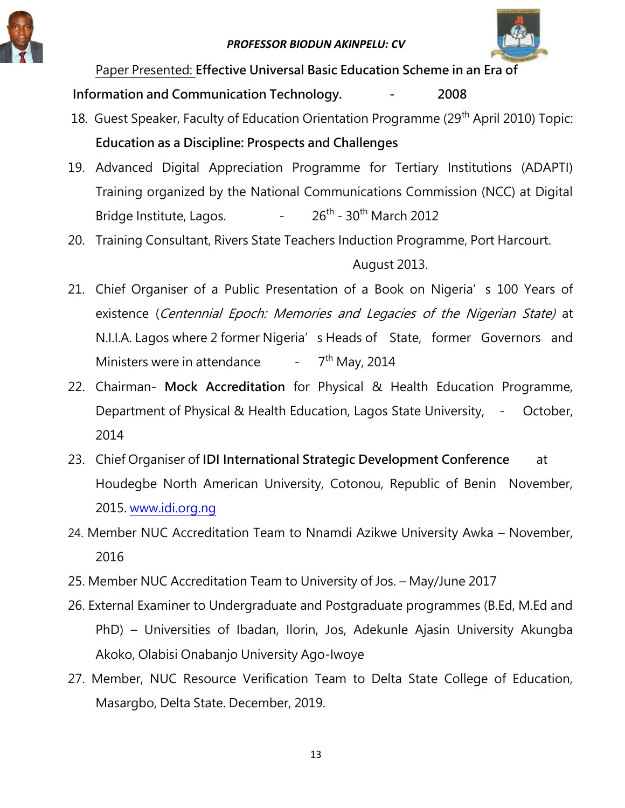



Paper Presented: **Effective Universal Basic Education Scheme in an Era of** 

**Information and Communication Technology. - 2008** 

- 18. Guest Speaker, Faculty of Education Orientation Programme (29<sup>th</sup> April 2010) Topic: **Education as a Discipline: Prospects and Challenges**
- 19. Advanced Digital Appreciation Programme for Tertiary Institutions (ADAPTI) Training organized by the National Communications Commission (NCC) at Digital Bridge Institute, Lagos.  $26^{th}$  - 30<sup>th</sup> March 2012
- 20. Training Consultant, Rivers State Teachers Induction Programme, Port Harcourt.

## August 2013.

- 21. Chief Organiser of a Public Presentation of a Book on Nigeria's 100 Years of existence (Centennial Epoch: Memories and Legacies of the Nigerian State) at N.I.I.A. Lagos where 2 former Nigeria's Heads of State, former Governors and Ministers were in attendance  $\overline{\phantom{a}}$  $7<sup>th</sup>$  May, 2014
- 22. Chairman- **Mock Accreditation** for Physical & Health Education Programme, Department of Physical & Health Education, Lagos State University, - October, 2014
- 23. Chief Organiser of **IDI International Strategic Development Conference** at Houdegbe North American University, Cotonou, Republic of Benin November, 2015. [www.idi.org.ng](http://www.idi.org.ng/)
- 24. Member NUC Accreditation Team to Nnamdi Azikwe University Awka November, 2016
- 25. Member NUC Accreditation Team to University of Jos. May/June 2017
- 26. External Examiner to Undergraduate and Postgraduate programmes (B.Ed, M.Ed and PhD) – Universities of Ibadan, Ilorin, Jos, Adekunle Ajasin University Akungba Akoko, Olabisi Onabanjo University Ago-Iwoye
- 27. Member, NUC Resource Verification Team to Delta State College of Education, Masargbo, Delta State. December, 2019.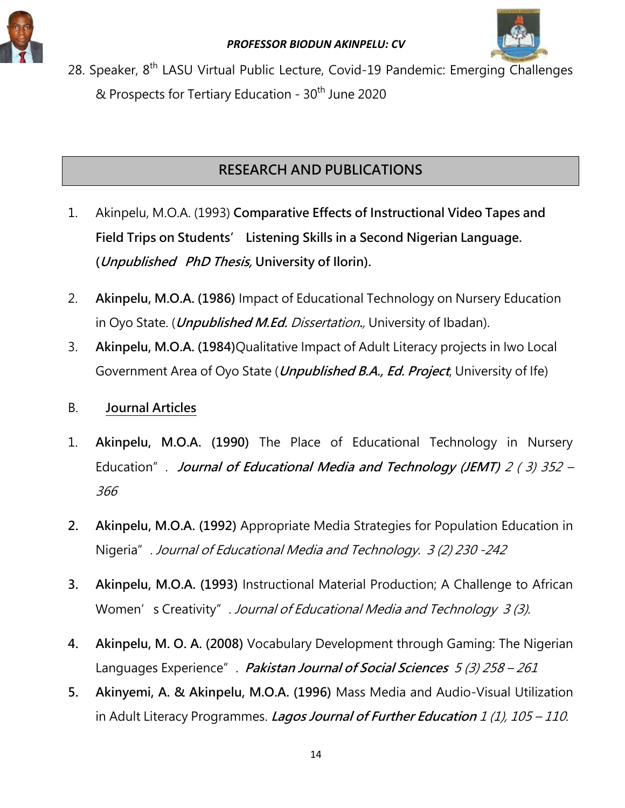



28. Speaker, 8<sup>th</sup> LASU Virtual Public Lecture, Covid-19 Pandemic: Emerging Challenges & Prospects for Tertiary Education - 30<sup>th</sup> June 2020

## **RESEARCH AND PUBLICATIONS**

- 1. Akinpelu, M.O.A. (1993) **Comparative Effects of Instructional Video Tapes and Field Trips on Students' Listening Skills in a Second Nigerian Language. (Unpublished PhD Thesis, University of Ilorin).**
- 2. **Akinpelu, M.O.A. (1986)** Impact of Educational Technology on Nursery Education in Oyo State. (**Unpublished M.Ed.** Dissertation**.**, University of Ibadan).
- 3. **Akinpelu, M.O.A. (1984)**Qualitative Impact of Adult Literacy projects in Iwo Local Government Area of Oyo State (**Unpublished B.A., Ed. Project**, University of Ife)
- B. **Journal Articles**
- 1. **Akinpelu, M.O.A. (1990)** The Place of Educational Technology in Nursery Education". **Journal of Educational Media and Technology (JEMT)** 2 ( 3) 352 – 366
- **2. Akinpelu, M.O.A. (1992)** Appropriate Media Strategies for Population Education in Nigeria". Journal of Educational Media and Technology. 3 (2) 230 -242
- **3. Akinpelu, M.O.A. (1993)** Instructional Material Production; A Challenge to African Women's Creativity". Journal of Educational Media and Technology 3 (3).
- **4. Akinpelu, M. O. A. (2008)** Vocabulary Development through Gaming: The Nigerian Languages Experience". **Pakistan Journal of Social Sciences** 5 (3) 258 – 261
- **5. Akinyemi, A. & Akinpelu, M.O.A. (1996)** Mass Media and Audio-Visual Utilization in Adult Literacy Programmes. **Lagos Journal of Further Education** 1 (1), 105 – 110.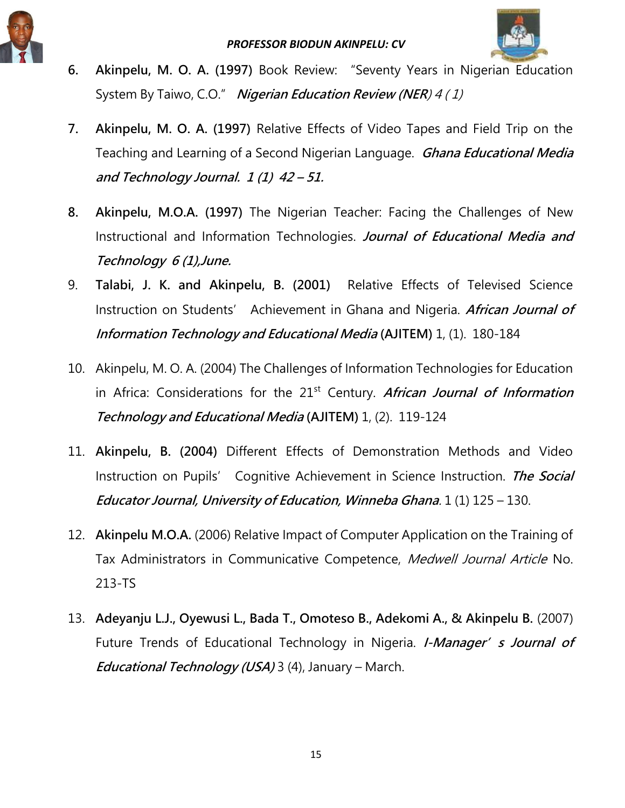



- **6. Akinpelu, M. O. A. (1997)** Book Review: "Seventy Years in Nigerian Education System By Taiwo, C.O." **Nigerian Education Review (NER**) 4 ( 1)
- **7. Akinpelu, M. O. A. (1997)** Relative Effects of Video Tapes and Field Trip on the Teaching and Learning of a Second Nigerian Language. **Ghana Educational Media and Technology Journal. 1 (1) 42 – 51.**
- **8. Akinpelu, M.O.A. (1997)** The Nigerian Teacher: Facing the Challenges of New Instructional and Information Technologies. **Journal of Educational Media and Technology 6 (1),June.**
- 9. **Talabi, J. K. and Akinpelu, B. (2001)** Relative Effects of Televised Science Instruction on Students' Achievement in Ghana and Nigeria. **African Journal of Information Technology and Educational Media (AJITEM)** 1, (1). 180-184
- 10. Akinpelu, M. O. A. (2004) The Challenges of Information Technologies for Education in Africa: Considerations for the 21<sup>st</sup> Century. African Journal of Information **Technology and Educational Media (AJITEM)** 1, (2). 119-124
- 11. **Akinpelu, B. (2004)** Different Effects of Demonstration Methods and Video Instruction on Pupils' Cognitive Achievement in Science Instruction. **The Social Educator Journal, University of Education, Winneba Ghana**. 1 (1) 125 – 130.
- 12. **Akinpelu M.O.A.** (2006) Relative Impact of Computer Application on the Training of Tax Administrators in Communicative Competence, Medwell Journal Article No. 213-TS
- 13. **Adeyanju L.J., Oyewusi L., Bada T., Omoteso B., Adekomi A., & Akinpelu B.** (2007) Future Trends of Educational Technology in Nigeria. *I-Manager' s Journal of* **Educational Technology (USA)** 3 (4), January – March.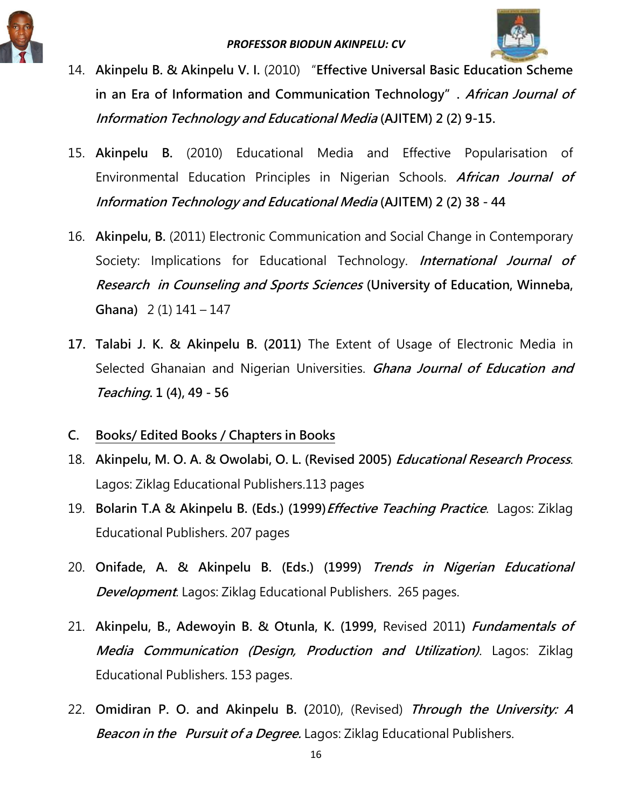

- 14. **Akinpelu B. & Akinpelu V. I.** (2010) "**Effective Universal Basic Education Scheme in an Era of Information and Communication Technology". African Journal of Information Technology and Educational Media (AJITEM) 2 (2) 9-15.**
- 15. **Akinpelu B.** (2010) Educational Media and Effective Popularisation of Environmental Education Principles in Nigerian Schools. **African Journal of Information Technology and Educational Media (AJITEM) 2 (2) 38 - 44**
- 16. **Akinpelu, B.** (2011) Electronic Communication and Social Change in Contemporary Society: Implications for Educational Technology. **International Journal of Research in Counseling and Sports Sciences (University of Education, Winneba, Ghana)** 2 (1) 141 – 147
- **17. Talabi J. K. & Akinpelu B. (2011)** The Extent of Usage of Electronic Media in Selected Ghanaian and Nigerian Universities. **Ghana Journal of Education and Teaching. 1 (4), 49 - 56**
- **C. Books/ Edited Books / Chapters in Books**
- 18. **Akinpelu, M. O. A. & Owolabi, O. L. (Revised 2005) Educational Research Process**. Lagos: Ziklag Educational Publishers.113 pages
- 19. **Bolarin T.A & Akinpelu B. (Eds.) (1999)Effective Teaching Practice**. Lagos: Ziklag Educational Publishers. 207 pages
- 20. **Onifade, A. & Akinpelu B. (Eds.) (1999) Trends in Nigerian Educational Development**. Lagos: Ziklag Educational Publishers. 265 pages.
- 21. **Akinpelu, B., Adewoyin B. & Otunla, K. (1999,** Revised 2011**) Fundamentals of Media Communication (Design, Production and Utilization)**. Lagos: Ziklag Educational Publishers. 153 pages.
- 22. **Omidiran P. O. and Akinpelu B. (**2010), (Revised) **Through the University: A Beacon in the Pursuit of a Degree.** Lagos: Ziklag Educational Publishers.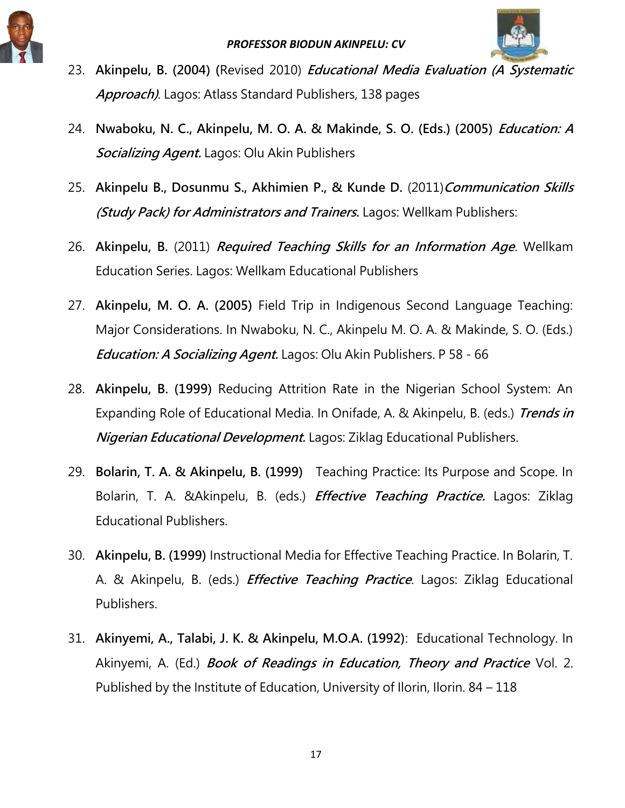



- 23. **Akinpelu, B. (2004) (**Revised 2010) **Educational Media Evaluation (A Systematic Approach)**. Lagos: Atlass Standard Publishers, 138 pages
- 24. **Nwaboku, N. C., Akinpelu, M. O. A. & Makinde, S. O. (Eds.) (2005) Education: A Socializing Agent.** Lagos: Olu Akin Publishers
- 25. **Akinpelu B., Dosunmu S., Akhimien P., & Kunde D.** (2011)**Communication Skills (Study Pack) for Administrators and Trainers.** Lagos: Wellkam Publishers:
- 26. **Akinpelu, B.** (2011) **Required Teaching Skills for an Information Age**. Wellkam Education Series. Lagos: Wellkam Educational Publishers
- 27. **Akinpelu, M. O. A. (2005)** Field Trip in Indigenous Second Language Teaching: Major Considerations. In Nwaboku, N. C., Akinpelu M. O. A. & Makinde, S. O. (Eds.) **Education: A Socializing Agent.** Lagos: Olu Akin Publishers. P 58 - 66
- 28. **Akinpelu, B. (1999)** Reducing Attrition Rate in the Nigerian School System: An Expanding Role of Educational Media. In Onifade, A. & Akinpelu, B. (eds.) **Trends in Nigerian Educational Development.** Lagos: Ziklag Educational Publishers.
- 29. **Bolarin, T. A. & Akinpelu, B. (1999)** Teaching Practice: Its Purpose and Scope. In Bolarin, T. A. &Akinpelu, B. (eds.) **Effective Teaching Practice.** Lagos: Ziklag Educational Publishers.
- 30. **Akinpelu, B. (1999)** Instructional Media for Effective Teaching Practice. In Bolarin, T. A. & Akinpelu, B. (eds.) **Effective Teaching Practice**. Lagos: Ziklag Educational Publishers.
- 31. **Akinyemi, A., Talabi, J. K. & Akinpelu, M.O.A. (1992)**: Educational Technology. In Akinyemi, A. (Ed.) **Book of Readings in Education, Theory and Practice** Vol. 2. Published by the Institute of Education, University of Ilorin, Ilorin. 84 – 118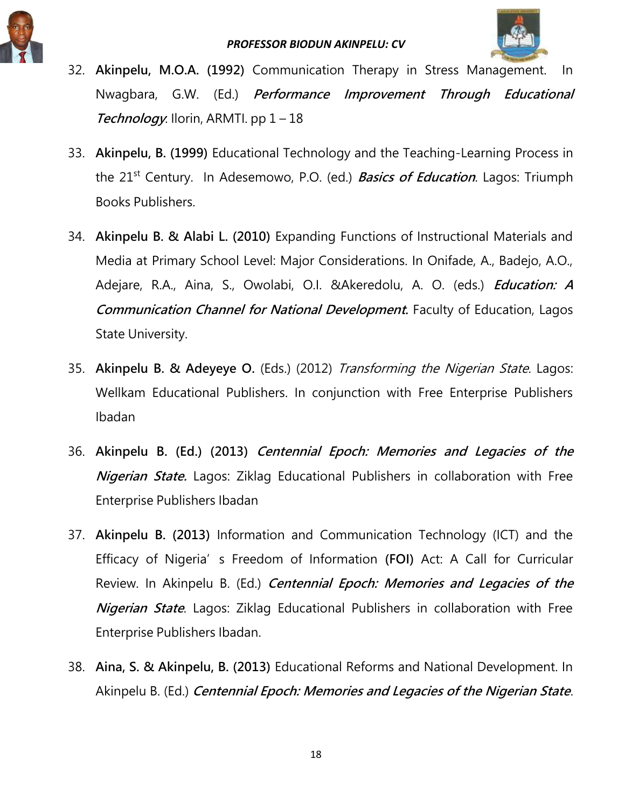

- 32. **Akinpelu, M.O.A. (1992)** Communication Therapy in Stress Management. In Nwagbara, G.W. (Ed.) **Performance Improvement Through Educational Technology**: Ilorin, ARMTI. pp 1 – 18
- 33. **Akinpelu, B. (1999)** Educational Technology and the Teaching-Learning Process in the 21st Century. In Adesemowo, P.O. (ed.) **Basics of Education**. Lagos: Triumph Books Publishers.
- 34. **Akinpelu B. & Alabi L. (2010)** Expanding Functions of Instructional Materials and Media at Primary School Level: Major Considerations. In Onifade, A., Badejo, A.O., Adejare, R.A., Aina, S., Owolabi, O.I. &Akeredolu, A. O. (eds.) **Education: A Communication Channel for National Development.** Faculty of Education, Lagos State University.
- 35. **Akinpelu B. & Adeyeye O.** (Eds.) (2012) Transforming the Nigerian State. Lagos: Wellkam Educational Publishers. In conjunction with Free Enterprise Publishers Ibadan
- 36. **Akinpelu B. (Ed.) (2013) Centennial Epoch: Memories and Legacies of the Nigerian State.** Lagos: Ziklag Educational Publishers in collaboration with Free Enterprise Publishers Ibadan
- 37. **Akinpelu B. (2013)** Information and Communication Technology (ICT) and the Efficacy of Nigeria's Freedom of Information **(FOI)** Act: A Call for Curricular Review. In Akinpelu B. (Ed.) **Centennial Epoch: Memories and Legacies of the Nigerian State**. Lagos: Ziklag Educational Publishers in collaboration with Free Enterprise Publishers Ibadan.
- 38. **Aina, S. & Akinpelu, B. (2013)** Educational Reforms and National Development. In Akinpelu B. (Ed.) **Centennial Epoch: Memories and Legacies of the Nigerian State**.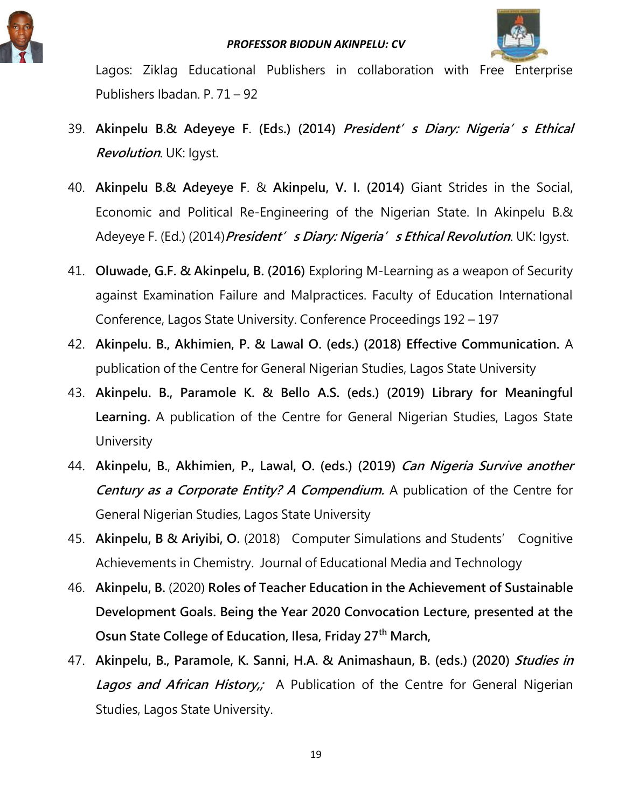



Lagos: Ziklag Educational Publishers in collaboration with Free Enterprise Publishers Ibadan. P. 71 – 92

- 39. **Akinpelu B**.**& Adeyeye F**. **(Ed**s**.) (2014) President's Diary: Nigeria's Ethical Revolution**. UK: Igyst.
- 40. **Akinpelu B**.**& Adeyeye F**. & **Akinpelu, V. I. (2014)** Giant Strides in the Social, Economic and Political Re-Engineering of the Nigerian State. In Akinpelu B.& Adeyeye F. (Ed.) (2014)**President's Diary: Nigeria's Ethical Revolution**. UK: Igyst.
- 41. **Oluwade, G.F. & Akinpelu, B. (2016)** Exploring M-Learning as a weapon of Security against Examination Failure and Malpractices. Faculty of Education International Conference, Lagos State University. Conference Proceedings 192 – 197
- 42. **Akinpelu. B., Akhimien, P. & Lawal O. (eds.) (2018) Effective Communication.** A publication of the Centre for General Nigerian Studies, Lagos State University
- 43. **Akinpelu. B., Paramole K. & Bello A.S. (eds.) (2019) Library for Meaningful Learning.** A publication of the Centre for General Nigerian Studies, Lagos State **University**
- 44. **Akinpelu, B.**, **Akhimien, P., Lawal, O. (eds.) (2019) Can Nigeria Survive another Century as a Corporate Entity? A Compendium.** A publication of the Centre for General Nigerian Studies, Lagos State University
- 45. **Akinpelu, B & Ariyibi, O.** (2018) Computer Simulations and Students' Cognitive Achievements in Chemistry. Journal of Educational Media and Technology
- 46. **Akinpelu, B.** (2020) **Roles of Teacher Education in the Achievement of Sustainable Development Goals. Being the Year 2020 Convocation Lecture, presented at the Osun State College of Education, Ilesa, Friday 27th March,**
- 47. **Akinpelu, B., Paramole, K. Sanni, H.A. & Animashaun, B. (eds.) (2020) Studies in**  Lagos and African History,; A Publication of the Centre for General Nigerian Studies, Lagos State University.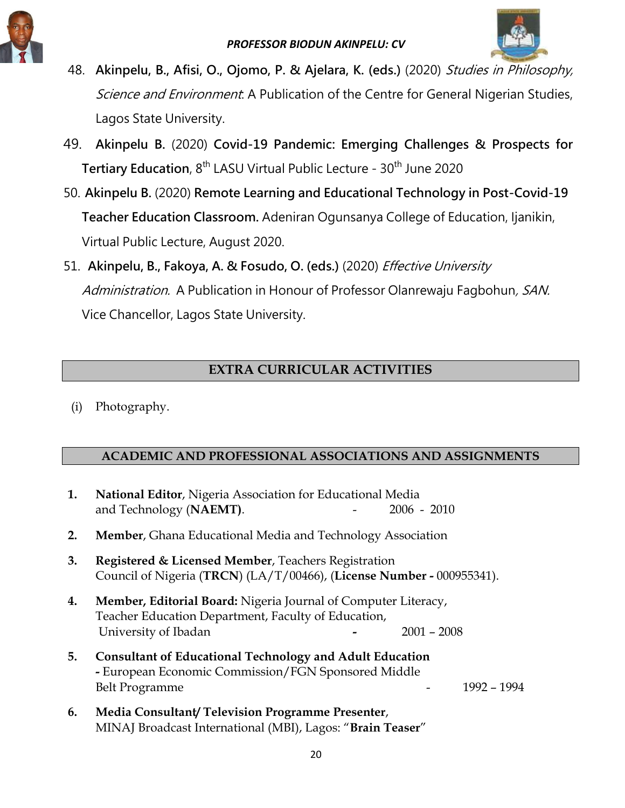

- 48. **Akinpelu, B., Afisi, O., Ojomo, P. & Ajelara, K. (eds.)** (2020) Studies in Philosophy, Science and Environment: A Publication of the Centre for General Nigerian Studies, Lagos State University.
- 49. **Akinpelu B.** (2020) **Covid-19 Pandemic: Emerging Challenges & Prospects for Tertiary Education, 8<sup>th</sup> LASU Virtual Public Lecture - 30<sup>th</sup> June 2020**
- 50. **Akinpelu B.** (2020) **Remote Learning and Educational Technology in Post-Covid-19 Teacher Education Classroom.** Adeniran Ogunsanya College of Education, Ijanikin, Virtual Public Lecture, August 2020.
- 51. **Akinpelu, B., Fakoya, A. & Fosudo, O. (eds.)** (2020) Effective University Administration. A Publication in Honour of Professor Olanrewaju Fagbohun, SAN. Vice Chancellor, Lagos State University.

## **EXTRA CURRICULAR ACTIVITIES**

(i) Photography.

### **ACADEMIC AND PROFESSIONAL ASSOCIATIONS AND ASSIGNMENTS**

| 1. | National Editor, Nigeria Association for Educational Media<br>and Technology (NAEMT).<br>$2006 - 2010$                                                                |
|----|-----------------------------------------------------------------------------------------------------------------------------------------------------------------------|
| 2. | <b>Member, Ghana Educational Media and Technology Association</b>                                                                                                     |
| 3. | Registered & Licensed Member, Teachers Registration<br>Council of Nigeria (TRCN) (LA/T/00466), (License Number - 000955341).                                          |
| 4. | <b>Member, Editorial Board:</b> Nigeria Journal of Computer Literacy,<br>Teacher Education Department, Faculty of Education,<br>University of Ibadan<br>$2001 - 2008$ |
| 5. | <b>Consultant of Educational Technology and Adult Education</b><br>- European Economic Commission/FGN Sponsored Middle<br>1992 - 1994<br><b>Belt Programme</b>        |
| 6. | Media Consultant/Television Programme Presenter,                                                                                                                      |

MINAJ Broadcast International (MBI), Lagos: "**Brain Teaser**"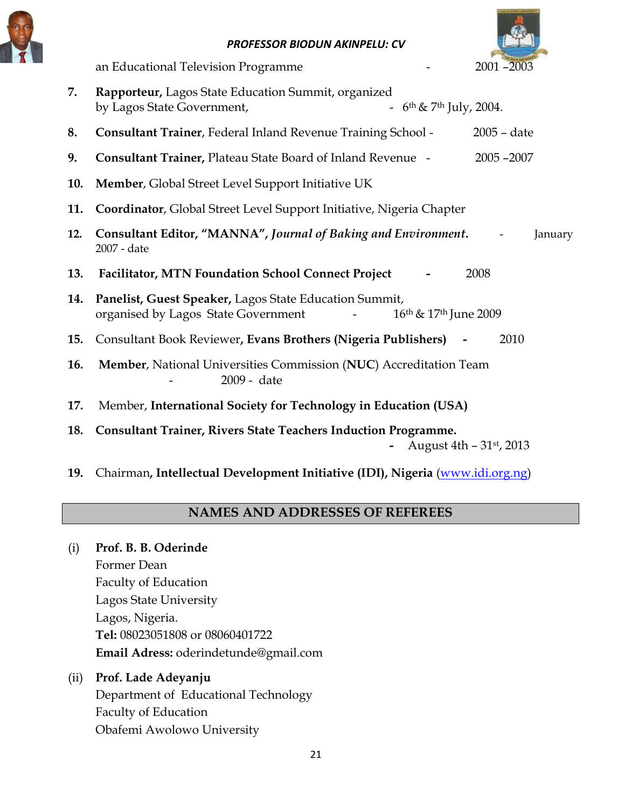



**7. Rapporteur,** Lagos State Education Summit, organized by Lagos State Government,  $6th \& 7th \text{ July, } 2004.$ **8. Consultant Trainer**, Federal Inland Revenue Training School - 2005 – date **9. Consultant Trainer,** Plateau State Board of Inland Revenue - 2005 –2007 **10. Member**, Global Street Level Support Initiative UK **11. Coordinator**, Global Street Level Support Initiative, Nigeria Chapter **12. Consultant Editor, "MANNA",** *Journal of Baking and Environment***.** - January 2007 - date **13. Facilitator, MTN Foundation School Connect Project -** 2008 **14. Panelist, Guest Speaker,** Lagos State Education Summit, organised by Lagos State Government - 16<sup>th</sup> & 17<sup>th</sup> June 2009 **15.** Consultant Book Reviewer**, Evans Brothers (Nigeria Publishers) -** 2010 **16. Member**, National Universities Commission (**NUC**) Accreditation Team 2009 - date **17.** Member, **International Society for Technology in Education (USA) 18. Consultant Trainer, Rivers State Teachers Induction Programme. -** August 4th – 31st, 2013

**19.** Chairman**, Intellectual Development Initiative (IDI), Nigeria** [\(www.idi.org.ng\)](http://www.idi.org.ng/)

## **NAMES AND ADDRESSES OF REFEREES**

### (i) **Prof. B. B. Oderinde**

Former Dean Faculty of Education Lagos State University Lagos, Nigeria. **Tel:** 08023051808 or 08060401722 **Email Adress:** oderindetunde@gmail.com

(ii) **Prof. Lade Adeyanju** Department of Educational Technology Faculty of Education Obafemi Awolowo University